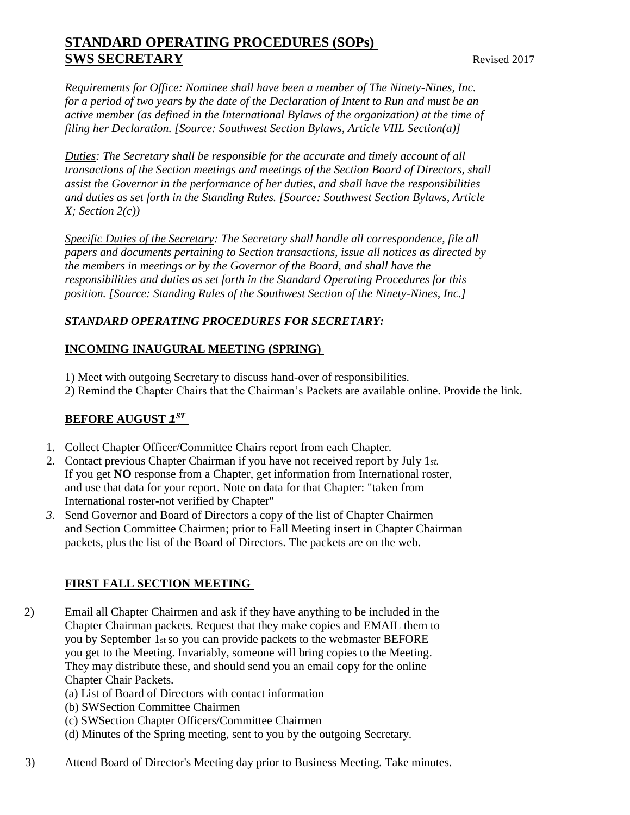# **STANDARD OPERATING PROCEDURES (SOPs) SWS SECRETARY** Revised 2017

*Requirements for Office: Nominee shall have been a member of The Ninety-Nines, Inc. for a period of two years by the date of the Declaration of Intent to Run and must be an active member (as defined in the International Bylaws of the organization) at the time of filing her Declaration. [Source: Southwest Section Bylaws, Article VIIL Section(a)]* 

*Duties: The Secretary shall be responsible for the accurate and timely account of all transactions of the Section meetings and meetings of the Section Board of Directors, shall assist the Governor in the performance of her duties, and shall have the responsibilities and duties as set forth in the Standing Rules. [Source: Southwest Section Bylaws, Article X; Section 2(c))* 

*Specific Duties of the Secretary: The Secretary shall handle all correspondence, file all papers and documents pertaining to Section transactions, issue all notices as directed by the members in meetings or by the Governor of the Board, and shall have the responsibilities and duties as set forth in the Standard Operating Procedures for this position. [Source: Standing Rules of the Southwest Section of the Ninety-Nines, Inc.]* 

## *STANDARD OPERATING PROCEDURES FOR SECRETARY:*

#### **INCOMING INAUGURAL MEETING (SPRING)**

- 1) Meet with outgoing Secretary to discuss hand-over of responsibilities.
- 2) Remind the Chapter Chairs that the Chairman's Packets are available online. Provide the link.

## **BEFORE AUGUST** *1 ST*

- 1. Collect Chapter Officer/Committee Chairs report from each Chapter.
- 2. Contact previous Chapter Chairman if you have not received report by July 1*st.*  If you get **NO** response from a Chapter, get information from International roster, and use that data for your report. Note on data for that Chapter: "taken from International roster-not verified by Chapter"
- *3.* Send Governor and Board of Directors a copy of the list of Chapter Chairmen and Section Committee Chairmen; prior to Fall Meeting insert in Chapter Chairman packets, plus the list of the Board of Directors. The packets are on the web.

## **FIRST FALL SECTION MEETING**

- 2) Email all Chapter Chairmen and ask if they have anything to be included in the Chapter Chairman packets. Request that they make copies and EMAIL them to you by September 1st so you can provide packets to the webmaster BEFORE you get to the Meeting. Invariably, someone will bring copies to the Meeting. They may distribute these, and should send you an email copy for the online Chapter Chair Packets.
	- (a) List of Board of Directors with contact information
	- (b) SWSection Committee Chairmen
	- (c) SWSection Chapter Officers/Committee Chairmen
	- (d) Minutes of the Spring meeting, sent to you by the outgoing Secretary.
- 3) Attend Board of Director's Meeting day prior to Business Meeting. Take minutes.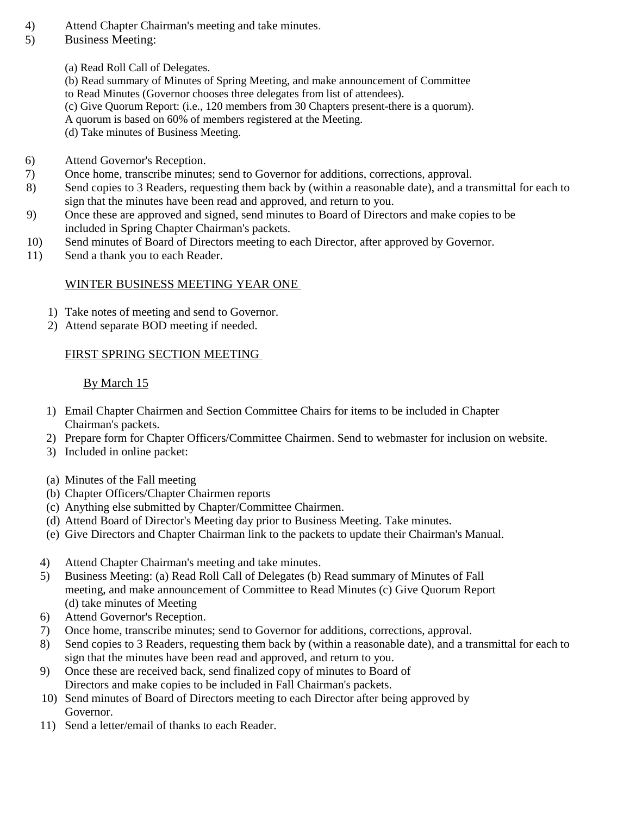- 4) Attend Chapter Chairman's meeting and take minutes.
- 5) Business Meeting:
	- (a) Read Roll Call of Delegates.
	- (b) Read summary of Minutes of Spring Meeting, and make announcement of Committee
	- to Read Minutes (Governor chooses three delegates from list of attendees).
	- (c) Give Quorum Report: (i.e., 120 members from 30 Chapters present-there is a quorum).
	- A quorum is based on 60% of members registered at the Meeting.
	- (d) Take minutes of Business Meeting.
- 6) Attend Governor's Reception.
- 7) Once home, transcribe minutes; send to Governor for additions, corrections, approval.
- 8) Send copies to 3 Readers, requesting them back by (within a reasonable date), and a transmittal for each to sign that the minutes have been read and approved, and return to you.
- 9) Once these are approved and signed, send minutes to Board of Directors and make copies to be included in Spring Chapter Chairman's packets.
- 10) Send minutes of Board of Directors meeting to each Director, after approved by Governor.
- 11) Send a thank you to each Reader.

## WINTER BUSINESS MEETING YEAR ONE

- 1) Take notes of meeting and send to Governor.
- 2) Attend separate BOD meeting if needed.

## FIRST SPRING SECTION MEETING

## By March 15

- 1) Email Chapter Chairmen and Section Committee Chairs for items to be included in Chapter Chairman's packets.
- 2) Prepare form for Chapter Officers/Committee Chairmen. Send to webmaster for inclusion on website.
- 3) Included in online packet:
- (a) Minutes of the Fall meeting
- (b) Chapter Officers/Chapter Chairmen reports
- (c) Anything else submitted by Chapter/Committee Chairmen.
- (d) Attend Board of Director's Meeting day prior to Business Meeting. Take minutes.
- (e) Give Directors and Chapter Chairman link to the packets to update their Chairman's Manual.
- 4) Attend Chapter Chairman's meeting and take minutes.
- 5) Business Meeting: (a) Read Roll Call of Delegates (b) Read summary of Minutes of Fall meeting, and make announcement of Committee to Read Minutes (c) Give Quorum Report (d) take minutes of Meeting
- 6) Attend Governor's Reception.
- 7) Once home, transcribe minutes; send to Governor for additions, corrections, approval.
- 8) Send copies to 3 Readers, requesting them back by (within a reasonable date), and a transmittal for each to sign that the minutes have been read and approved, and return to you.
- 9) Once these are received back, send finalized copy of minutes to Board of Directors and make copies to be included in Fall Chairman's packets.
- 10) Send minutes of Board of Directors meeting to each Director after being approved by Governor.
- 11) Send a letter/email of thanks to each Reader.